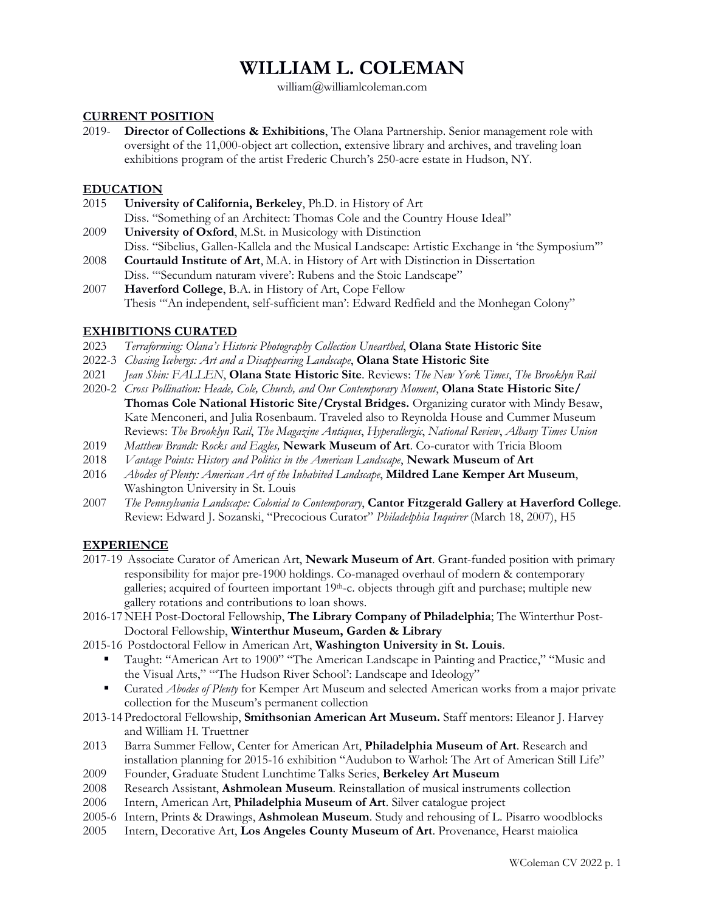# **WILLIAM L. COLEMAN**

william@williamlcoleman.com

## **CURRENT POSITION**

2019- **Director of Collections & Exhibitions**, The Olana Partnership. Senior management role with oversight of the 11,000-object art collection, extensive library and archives, and traveling loan exhibitions program of the artist Frederic Church's 250-acre estate in Hudson, NY.

## **EDUCATION**

- 2015 **University of California, Berkeley**, Ph.D. in History of Art Diss. "Something of an Architect: Thomas Cole and the Country House Ideal"
- 2009 **University of Oxford**, M.St. in Musicology with Distinction Diss. "Sibelius, Gallen-Kallela and the Musical Landscape: Artistic Exchange in 'the Symposium'"
- 2008 **Courtauld Institute of Art**, M.A. in History of Art with Distinction in Dissertation Diss. "'Secundum naturam vivere': Rubens and the Stoic Landscape"
- 2007 **Haverford College**, B.A. in History of Art, Cope Fellow Thesis "'An independent, self-sufficient man': Edward Redfield and the Monhegan Colony"

## **EXHIBITIONS CURATED**

- 2023 *Terraforming: Olana's Historic Photography Collection Unearthed*, **Olana State Historic Site**
- 2022-3 *Chasing Icebergs: Art and a Disappearing Landscape*, **Olana State Historic Site**
- 2021 *Jean Shin: FALLEN*, **Olana State Historic Site**. Reviews: *The New York Times*, *The Brooklyn Rail*
- 2020-2 *Cross Pollination: Heade, Cole, Church, and Our Contemporary Moment*, **Olana State Historic Site/ Thomas Cole National Historic Site/Crystal Bridges.** Organizing curator with Mindy Besaw, Kate Menconeri, and Julia Rosenbaum. Traveled also to Reynolda House and Cummer Museum Reviews: *The Brooklyn Rail*, *The Magazine Antiques*, *Hyperallergic*, *National Review*, *Albany Times Union*
- 2019 *Matthew Brandt: Rocks and Eagles,* **Newark Museum of Art**. Co-curator with Tricia Bloom
- 2018 *Vantage Points: History and Politics in the American Landscape*, **Newark Museum of Art**
- 2016 *Abodes of Plenty: American Art of the Inhabited Landscape*, **Mildred Lane Kemper Art Museum**, Washington University in St. Louis
- 2007 *The Pennsylvania Landscape: Colonial to Contemporary*, **Cantor Fitzgerald Gallery at Haverford College**. Review: Edward J. Sozanski, "Precocious Curator" *Philadelphia Inquirer* (March 18, 2007), H5

## **EXPERIENCE**

- 2017-19 Associate Curator of American Art, **Newark Museum of Art**. Grant-funded position with primary responsibility for major pre-1900 holdings. Co-managed overhaul of modern & contemporary galleries; acquired of fourteen important 19th-c. objects through gift and purchase; multiple new gallery rotations and contributions to loan shows.
- 2016-17NEH Post-Doctoral Fellowship, **The Library Company of Philadelphia**; The Winterthur Post-Doctoral Fellowship, **Winterthur Museum, Garden & Library**
- 2015-16 Postdoctoral Fellow in American Art, **Washington University in St. Louis**.
	- Taught: "American Art to 1900" "The American Landscape in Painting and Practice," "Music and the Visual Arts," "'The Hudson River School': Landscape and Ideology"
	- **Curated Abodes of Plenty for Kemper Art Museum and selected American works from a major private** collection for the Museum's permanent collection
- 2013-14Predoctoral Fellowship, **Smithsonian American Art Museum.** Staff mentors: Eleanor J. Harvey and William H. Truettner
- 2013 Barra Summer Fellow, Center for American Art, **Philadelphia Museum of Art**. Research and installation planning for 2015-16 exhibition "Audubon to Warhol: The Art of American Still Life"
- 2009 Founder, Graduate Student Lunchtime Talks Series, **Berkeley Art Museum**
- 2008 Research Assistant, **Ashmolean Museum**. Reinstallation of musical instruments collection
- 2006 Intern, American Art, **Philadelphia Museum of Art**. Silver catalogue project
- 2005-6 Intern, Prints & Drawings, **Ashmolean Museum**. Study and rehousing of L. Pisarro woodblocks
- 2005 Intern, Decorative Art, **Los Angeles County Museum of Art**. Provenance, Hearst maiolica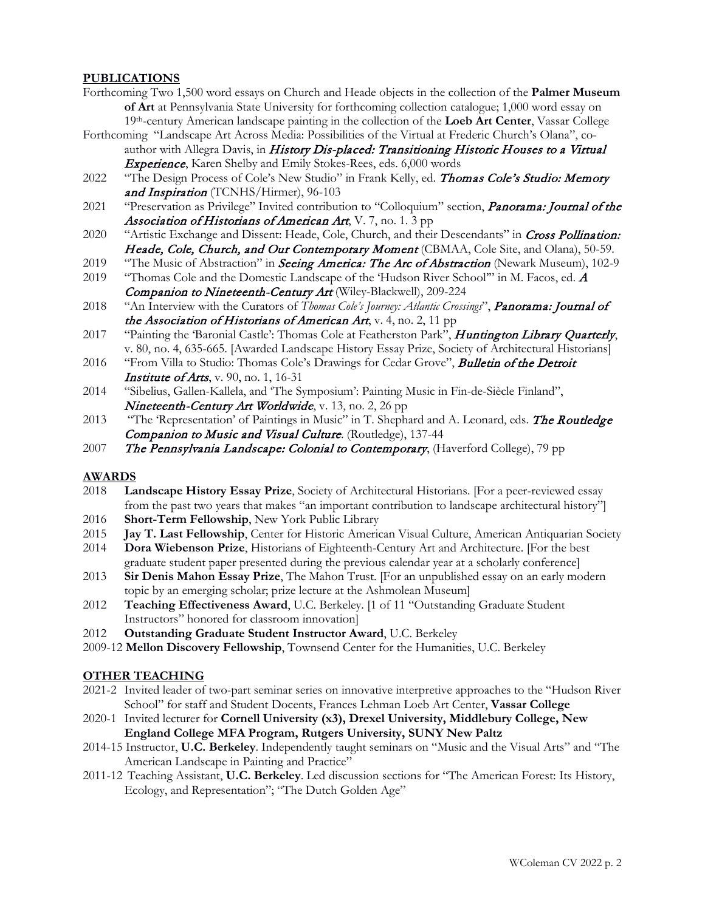## **PUBLICATIONS**

- Forthcoming Two 1,500 word essays on Church and Heade objects in the collection of the **Palmer Museum of Art** at Pennsylvania State University for forthcoming collection catalogue; 1,000 word essay on 19th-century American landscape painting in the collection of the **Loeb Art Center**, Vassar College
- Forthcoming "Landscape Art Across Media: Possibilities of the Virtual at Frederic Church's Olana", coauthor with Allegra Davis, in History Dis-placed: Transitioning Historic Houses to a Virtual Experience, Karen Shelby and Emily Stokes-Rees, eds. 6,000 words
- 2022 "The Design Process of Cole's New Studio" in Frank Kelly, ed. *Thomas Cole's Studio: Memory* and Inspiration (TCNHS/Hirmer), 96-103
- 2021 "Preservation as Privilege" Invited contribution to "Colloquium" section, *Panorama: Journal of the* Association of Historians of American Art, V. 7, no. 1. 3 pp
- 2020 "Artistic Exchange and Dissent: Heade, Cole, Church, and their Descendants" in Cross Pollination: Heade, Cole, Church, and Our Contemporary Moment (CBMAA, Cole Site, and Olana), 50-59.
- 2019 "The Music of Abstraction" in Seeing America: The Arc of Abstraction (Newark Museum), 102-9
- 2019 "Thomas Cole and the Domestic Landscape of the 'Hudson River School'" in M. Facos, ed.  $\boldsymbol{A}$ Companion to Nineteenth-Century Art (Wiley-Blackwell), 209-224
- 2018 "An Interview with the Curators of *Thomas Cole's Journey: Atlantic Crossings*", Panorama: Journal of the Association of Historians of American Art, v. 4, no. 2, 11 pp
- 2017 "Painting the 'Baronial Castle': Thomas Cole at Featherston Park", *Huntington Library Quarterly*,
- v. 80, no. 4, 635-665. [Awarded Landscape History Essay Prize, Society of Architectural Historians]
- 2016 "From Villa to Studio: Thomas Cole's Drawings for Cedar Grove", **Bulletin of the Detroit** Institute of Arts, v. 90, no. 1, 16-31
- 2014 "Sibelius, Gallen-Kallela, and 'The Symposium': Painting Music in Fin-de-Siècle Finland", Nineteenth-Century Art Worldwide, v. 13, no. 2, 26 pp
- 2013 "The 'Representation' of Paintings in Music" in T. Shephard and A. Leonard, eds. The Routledge Companion to Music and Visual Culture. (Routledge), 137-44
- 2007 The Pennsylvania Landscape: Colonial to Contemporary, (Haverford College), 79 pp

## **AWARDS**

- 2018 **Landscape History Essay Prize**, Society of Architectural Historians. [For a peer-reviewed essay from the past two years that makes "an important contribution to landscape architectural history"]
- 2016 **Short-Term Fellowship**, New York Public Library
- 2015 **Jay T. Last Fellowship**, Center for Historic American Visual Culture, American Antiquarian Society
- 2014 **Dora Wiebenson Prize**, Historians of Eighteenth-Century Art and Architecture. [For the best graduate student paper presented during the previous calendar year at a scholarly conference]
- 2013 **Sir Denis Mahon Essay Prize**, The Mahon Trust. [For an unpublished essay on an early modern topic by an emerging scholar; prize lecture at the Ashmolean Museum]
- 2012 **Teaching Effectiveness Award**, U.C. Berkeley. [1 of 11 "Outstanding Graduate Student Instructors" honored for classroom innovation]
- 2012 **Outstanding Graduate Student Instructor Award**, U.C. Berkeley
- 2009-12 **Mellon Discovery Fellowship**, Townsend Center for the Humanities, U.C. Berkeley

## **OTHER TEACHING**

- 2021-2 Invited leader of two-part seminar series on innovative interpretive approaches to the "Hudson River School" for staff and Student Docents, Frances Lehman Loeb Art Center, **Vassar College**
- 2020-1 Invited lecturer for **Cornell University (x3), Drexel University, Middlebury College, New England College MFA Program, Rutgers University, SUNY New Paltz**
- 2014-15 Instructor, **U.C. Berkeley**. Independently taught seminars on "Music and the Visual Arts" and "The American Landscape in Painting and Practice"
- 2011-12 Teaching Assistant, **U.C. Berkeley**. Led discussion sections for "The American Forest: Its History, Ecology, and Representation"; "The Dutch Golden Age"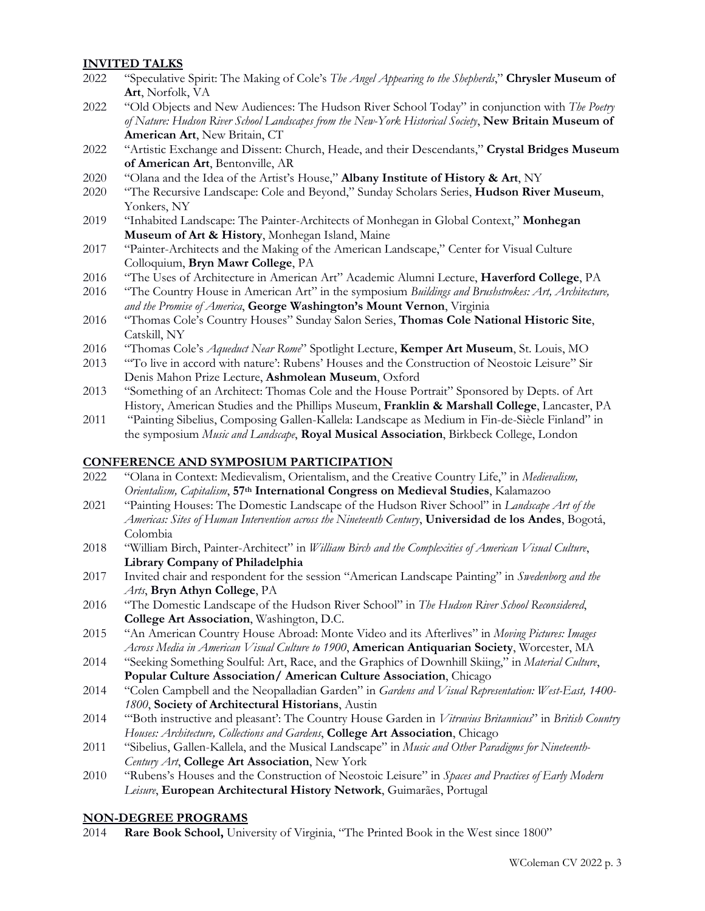#### **INVITED TALKS**

| 2022  | "Speculative Spirit: The Making of Cole's The Angel Appearing to the Shepherds," Chrysler Museum of |  |
|-------|-----------------------------------------------------------------------------------------------------|--|
|       | <b>Art, Norfolk, VA</b>                                                                             |  |
| 0.000 | $\sim$ 1 1 $\sim$ 1 $\sim$ 1 $\sim$ 1 $\sim$ 1 $\sim$ 1                                             |  |

- 2022 "Old Objects and New Audiences: The Hudson River School Today" in conjunction with *The Poetry of Nature: Hudson River School Landscapes from the New-York Historical Society*, **New Britain Museum of American Art**, New Britain, CT
- 2022 "Artistic Exchange and Dissent: Church, Heade, and their Descendants," **Crystal Bridges Museum of American Art**, Bentonville, AR
- 2020 "Olana and the Idea of the Artist's House," **Albany Institute of History & Art**, NY
- 2020 "The Recursive Landscape: Cole and Beyond," Sunday Scholars Series, **Hudson River Museum**, Yonkers, NY
- 2019 "Inhabited Landscape: The Painter-Architects of Monhegan in Global Context," **Monhegan Museum of Art & History**, Monhegan Island, Maine
- 2017 "Painter-Architects and the Making of the American Landscape," Center for Visual Culture Colloquium, **Bryn Mawr College**, PA
- 2016 "The Uses of Architecture in American Art" Academic Alumni Lecture, **Haverford College**, PA
- 2016 "The Country House in American Art" in the symposium *Buildings and Brushstrokes: Art, Architecture, and the Promise of America*, **George Washington's Mount Vernon**, Virginia
- 2016 "Thomas Cole's Country Houses" Sunday Salon Series, **Thomas Cole National Historic Site**, Catskill, NY
- 2016 "Thomas Cole's *Aqueduct Near Rome*" Spotlight Lecture, **Kemper Art Museum**, St. Louis, MO
- 2013 "'To live in accord with nature': Rubens' Houses and the Construction of Neostoic Leisure" Sir Denis Mahon Prize Lecture, **Ashmolean Museum**, Oxford
- 2013 "Something of an Architect: Thomas Cole and the House Portrait" Sponsored by Depts. of Art History, American Studies and the Phillips Museum, **Franklin & Marshall College**, Lancaster, PA
- 2011 "Painting Sibelius, Composing Gallen-Kallela: Landscape as Medium in Fin-de-Siècle Finland" in the symposium *Music and Landscape*, **Royal Musical Association**, Birkbeck College, London

#### **CONFERENCE AND SYMPOSIUM PARTICIPATION**

- 2022 "Olana in Context: Medievalism, Orientalism, and the Creative Country Life," in *Medievalism, Orientalism, Capitalism*, **57th International Congress on Medieval Studies**, Kalamazoo
- 2021 "Painting Houses: The Domestic Landscape of the Hudson River School" in *Landscape Art of the Americas: Sites of Human Intervention across the Nineteenth Century*, **Universidad de los Andes**, Bogotá, Colombia
- 2018 "William Birch, Painter-Architect" in *William Birch and the Complexities of American Visual Culture*, **Library Company of Philadelphia**
- 2017 Invited chair and respondent for the session "American Landscape Painting" in *Swedenborg and the Arts*, **Bryn Athyn College**, PA
- 2016 "The Domestic Landscape of the Hudson River School" in *The Hudson River School Reconsidered*, **College Art Association**, Washington, D.C.
- 2015 "An American Country House Abroad: Monte Video and its Afterlives" in *Moving Pictures: Images Across Media in American Visual Culture to 1900*, **American Antiquarian Society**, Worcester, MA
- 2014 "Seeking Something Soulful: Art, Race, and the Graphics of Downhill Skiing," in *Material Culture*, **Popular Culture Association/ American Culture Association**, Chicago
- 2014 "Colen Campbell and the Neopalladian Garden" in *Gardens and Visual Representation: West-East, 1400- 1800*, **Society of Architectural Historians**, Austin
- 2014 "'Both instructive and pleasant': The Country House Garden in *Vitruvius Britannicus*" in *British Country Houses: Architecture, Collections and Gardens*, **College Art Association**, Chicago
- 2011 "Sibelius, Gallen-Kallela, and the Musical Landscape" in *Music and Other Paradigms for Nineteenth-Century Art*, **College Art Association**, New York
- 2010 "Rubens's Houses and the Construction of Neostoic Leisure" in *Spaces and Practices of Early Modern Leisure*, **European Architectural History Network**, Guimarães, Portugal

#### **NON-DEGREE PROGRAMS**

2014 **Rare Book School,** University of Virginia, "The Printed Book in the West since 1800"